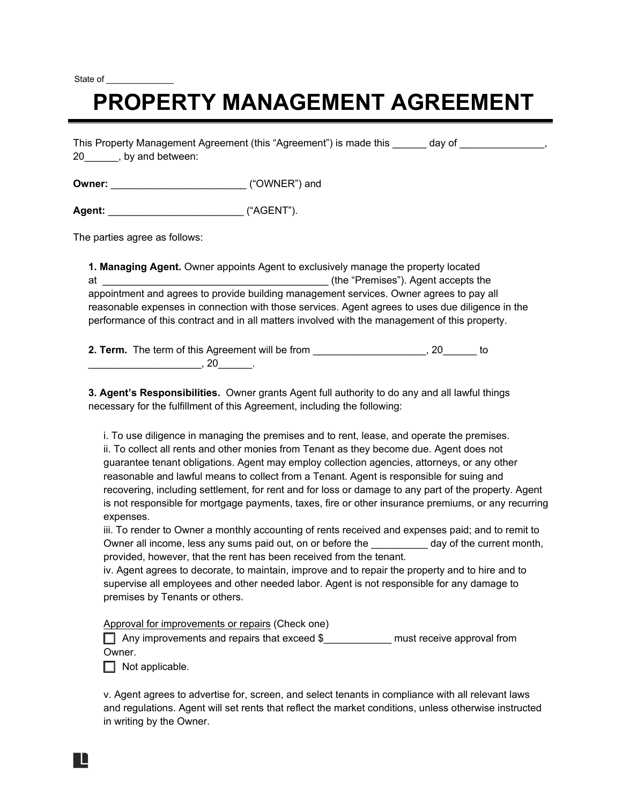State of

## **PROPERTY MANAGEMENT AGREEMENT**

This Property Management Agreement (this "Agreement") is made this day of the state of the state of the state o 20\_\_\_\_\_\_, by and between:

**Owner:** \_\_\_\_\_\_\_\_\_\_\_\_\_\_\_\_\_\_\_\_\_\_\_\_ ("OWNER") and

**Agent:** \_\_\_\_\_\_\_\_\_\_\_\_\_\_\_\_\_\_\_\_\_\_\_\_ ("AGENT").

The parties agree as follows:

**1. Managing Agent.** Owner appoints Agent to exclusively manage the property located at the state of the "Premises"). Agent accepts the state of the "Premises"). Agent accepts the appointment and agrees to provide building management services. Owner agrees to pay all reasonable expenses in connection with those services. Agent agrees to uses due diligence in the performance of this contract and in all matters involved with the management of this property.

**2. Term.** The term of this Agreement will be from \_\_\_\_\_\_\_\_\_\_\_\_\_\_\_\_\_\_\_\_\_\_\_\_\_\_, 20\_\_\_\_\_ to  $, 20$ 

**3. Agent's Responsibilities.** Owner grants Agent full authority to do any and all lawful things necessary for the fulfillment of this Agreement, including the following:

i. To use diligence in managing the premises and to rent, lease, and operate the premises. ii. To collect all rents and other monies from Tenant as they become due. Agent does not guarantee tenant obligations. Agent may employ collection agencies, attorneys, or any other reasonable and lawful means to collect from a Tenant. Agent is responsible for suing and recovering, including settlement, for rent and for loss or damage to any part of the property. Agent is not responsible for mortgage payments, taxes, fire or other insurance premiums, or any recurring expenses.

iii. To render to Owner a monthly accounting of rents received and expenses paid; and to remit to Owner all income, less any sums paid out, on or before the end and day of the current month, provided, however, that the rent has been received from the tenant.

iv. Agent agrees to decorate, to maintain, improve and to repair the property and to hire and to supervise all employees and other needed labor. Agent is not responsible for any damage to premises by Tenants or others.

Approval for improvements or repairs (Check one)

☐ Any improvements and repairs that exceed \$\_\_\_\_\_\_\_\_\_\_\_\_ must receive approval from Owner.

 $\Box$  Not applicable.

v. Agent agrees to advertise for, screen, and select tenants in compliance with all relevant laws and regulations. Agent will set rents that reflect the market conditions, unless otherwise instructed in writing by the Owner.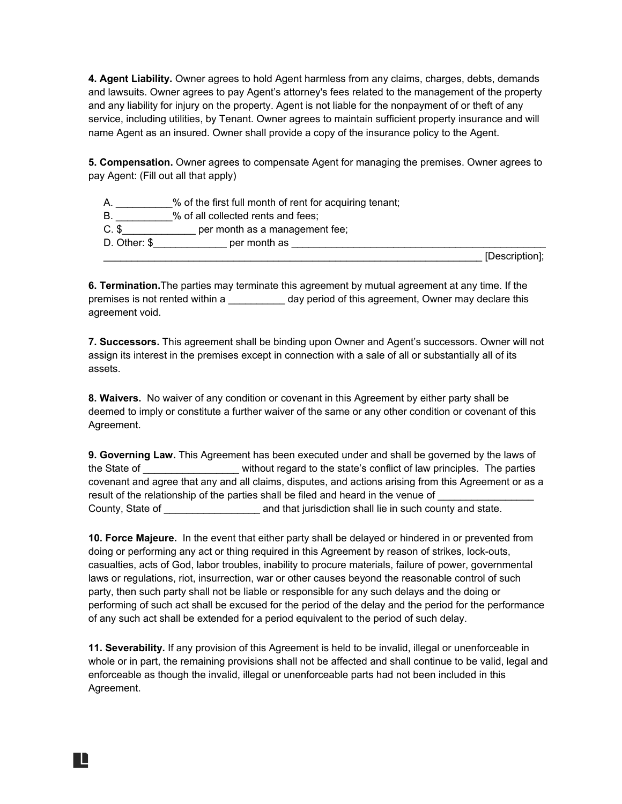**4. Agent Liability.** Owner agrees to hold Agent harmless from any claims, charges, debts, demands and lawsuits. Owner agrees to pay Agent's attorney's fees related to the management of the property and any liability for injury on the property. Agent is not liable for the nonpayment of or theft of any service, including utilities, by Tenant. Owner agrees to maintain sufficient property insurance and will name Agent as an insured. Owner shall provide a copy of the insurance policy to the Agent.

**5. Compensation.** Owner agrees to compensate Agent for managing the premises. Owner agrees to pay Agent: (Fill out all that apply)

% of the first full month of rent for acquiring tenant; B. \_\_\_\_\_\_\_\_\_\_% of all collected rents and fees; C. \$\_\_\_\_\_\_\_\_\_\_\_\_\_\_\_\_\_ per month as a management fee; D. Other: \$\_\_\_\_\_\_\_\_\_\_\_\_\_ per month as \_\_\_\_\_\_\_\_\_\_\_\_\_\_\_\_\_\_\_\_\_\_\_\_\_\_\_\_\_\_\_\_\_\_\_\_\_\_\_\_\_\_\_\_\_  $\blacksquare$  [Description];

**6. Termination.**The parties may terminate this agreement by mutual agreement at any time. If the premises is not rented within a \_\_\_\_\_\_\_\_\_\_ day period of this agreement, Owner may declare this agreement void.

**7. Successors.** This agreement shall be binding upon Owner and Agent's successors. Owner will not assign its interest in the premises except in connection with a sale of all or substantially all of its assets.

**8. Waivers.** No waiver of any condition or covenant in this Agreement by either party shall be deemed to imply or constitute a further waiver of the same or any other condition or covenant of this Agreement.

**9. Governing Law.** This Agreement has been executed under and shall be governed by the laws of the State of **Exercise 20** without regard to the state's conflict of law principles. The parties covenant and agree that any and all claims, disputes, and actions arising from this Agreement or as a result of the relationship of the parties shall be filed and heard in the venue of County, State of \_\_\_\_\_\_\_\_\_\_\_\_\_\_\_\_\_\_\_\_\_\_\_\_ and that jurisdiction shall lie in such county and state.

**10. Force Majeure.** In the event that either party shall be delayed or hindered in or prevented from doing or performing any act or thing required in this Agreement by reason of strikes, lock-outs, casualties, acts of God, labor troubles, inability to procure materials, failure of power, governmental laws or regulations, riot, insurrection, war or other causes beyond the reasonable control of such party, then such party shall not be liable or responsible for any such delays and the doing or performing of such act shall be excused for the period of the delay and the period for the performance of any such act shall be extended for a period equivalent to the period of such delay.

**11. Severability.** If any provision of this Agreement is held to be invalid, illegal or unenforceable in whole or in part, the remaining provisions shall not be affected and shall continue to be valid, legal and enforceable as though the invalid, illegal or unenforceable parts had not been included in this Agreement.

H